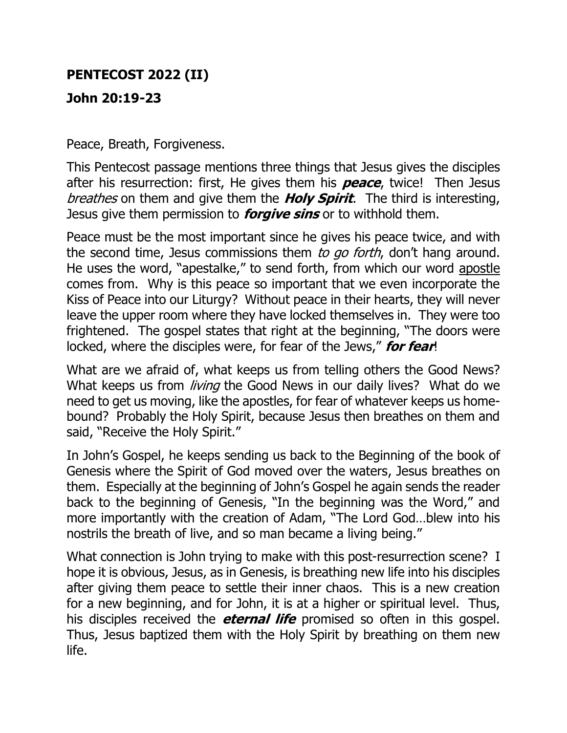## **PENTECOST 2022 (II)**

## **John 20:19-23**

Peace, Breath, Forgiveness.

This Pentecost passage mentions three things that Jesus gives the disciples after his resurrection: first, He gives them his **peace**, twice! Then Jesus breathes on them and give them the **Holy Spirit**. The third is interesting, Jesus give them permission to **forgive sins** or to withhold them.

Peace must be the most important since he gives his peace twice, and with the second time, Jesus commissions them to go forth, don't hang around. He uses the word, "apestalke," to send forth, from which our word apostle comes from. Why is this peace so important that we even incorporate the Kiss of Peace into our Liturgy? Without peace in their hearts, they will never leave the upper room where they have locked themselves in. They were too frightened. The gospel states that right at the beginning, "The doors were locked, where the disciples were, for fear of the Jews," **for fear**!

What are we afraid of, what keeps us from telling others the Good News? What keeps us from *living* the Good News in our daily lives? What do we need to get us moving, like the apostles, for fear of whatever keeps us homebound? Probably the Holy Spirit, because Jesus then breathes on them and said, "Receive the Holy Spirit."

In John's Gospel, he keeps sending us back to the Beginning of the book of Genesis where the Spirit of God moved over the waters, Jesus breathes on them. Especially at the beginning of John's Gospel he again sends the reader back to the beginning of Genesis, "In the beginning was the Word," and more importantly with the creation of Adam, "The Lord God…blew into his nostrils the breath of live, and so man became a living being."

What connection is John trying to make with this post-resurrection scene? I hope it is obvious, Jesus, as in Genesis, is breathing new life into his disciples after giving them peace to settle their inner chaos. This is a new creation for a new beginning, and for John, it is at a higher or spiritual level. Thus, his disciples received the **eternal life** promised so often in this gospel. Thus, Jesus baptized them with the Holy Spirit by breathing on them new life.